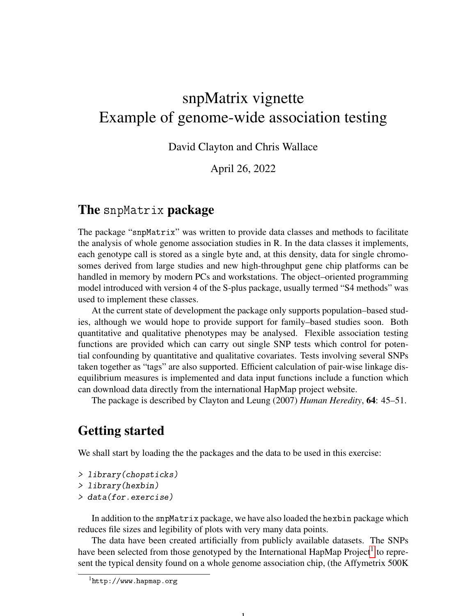# snpMatrix vignette Example of genome-wide association testing

David Clayton and Chris Wallace

April 26, 2022

### The snpMatrix package

The package "snpMatrix" was written to provide data classes and methods to facilitate the analysis of whole genome association studies in R. In the data classes it implements, each genotype call is stored as a single byte and, at this density, data for single chromosomes derived from large studies and new high-throughput gene chip platforms can be handled in memory by modern PCs and workstations. The object–oriented programming model introduced with version 4 of the S-plus package, usually termed "S4 methods" was used to implement these classes.

At the current state of development the package only supports population–based studies, although we would hope to provide support for family–based studies soon. Both quantitative and qualitative phenotypes may be analysed. Flexible association testing functions are provided which can carry out single SNP tests which control for potential confounding by quantitative and qualitative covariates. Tests involving several SNPs taken together as "tags" are also supported. Efficient calculation of pair-wise linkage disequilibrium measures is implemented and data input functions include a function which can download data directly from the international HapMap project website.

The package is described by Clayton and Leung (2007) *Human Heredity*, 64: 45–51.

# Getting started

We shall start by loading the the packages and the data to be used in this exercise:

```
> library(chopsticks)
```

```
> library(hexbin)
```

```
> data(for.exercise)
```
In addition to the snpMatrix package, we have also loaded the hexbin package which reduces file sizes and legibility of plots with very many data points.

The data have been created artificially from publicly available datasets. The SNPs have been selected from those genotyped by the International HapMap Project<sup>[1](#page-0-0)</sup> to represent the typical density found on a whole genome association chip, (the Affymetrix 500K

1

<span id="page-0-0"></span><sup>1</sup>http://www.hapmap.org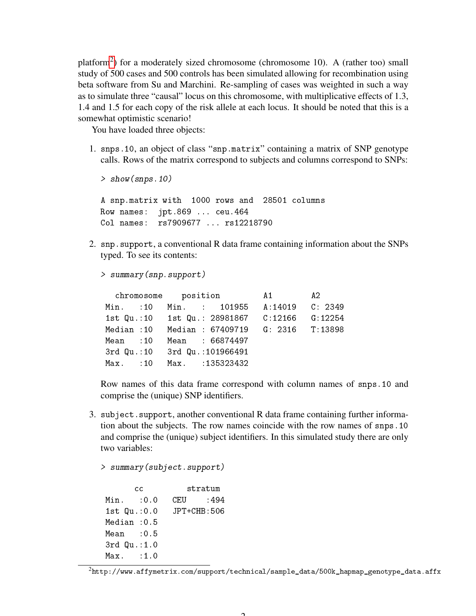platform<sup>[2](#page-1-0)</sup>) for a moderately sized chromosome (chromosome 10). A (rather too) small study of 500 cases and 500 controls has been simulated allowing for recombination using beta software from Su and Marchini. Re-sampling of cases was weighted in such a way as to simulate three "causal" locus on this chromosome, with multiplicative effects of 1.3, 1.4 and 1.5 for each copy of the risk allele at each locus. It should be noted that this is a somewhat optimistic scenario!

You have loaded three objects:

1. snps.10, an object of class "snp.matrix" containing a matrix of SNP genotype calls. Rows of the matrix correspond to subjects and columns correspond to SNPs:

```
> show(snps.10)
A snp.matrix with 1000 rows and 28501 columns
Row names: jpt.869 ... ceu.464
Col names: rs7909677 ... rs12218790
```
2. snp.support, a conventional R data frame containing information about the SNPs typed. To see its contents:

```
> summary(snp.support)
```

|            |  | chromosome position                            | $A1 \tA2$ |  |
|------------|--|------------------------------------------------|-----------|--|
| Min. :10   |  | Min. : 101955 A:14019 C: 2349                  |           |  |
|            |  | 1st Qu.:10 1st Qu.: 28981867 C:12166 G:12254   |           |  |
|            |  | Median : 10 Median : 67409719 G: 2316 T: 13898 |           |  |
| Mean : 10  |  | Mean : 66874497                                |           |  |
|            |  | 3rd Qu.:10 3rd Qu.:101966491                   |           |  |
| $Max.$ :10 |  | Max. :135323432                                |           |  |

Row names of this data frame correspond with column names of snps.10 and comprise the (unique) SNP identifiers.

3. subject.support, another conventional R data frame containing further information about the subjects. The row names coincide with the row names of snps.10 and comprise the (unique) subject identifiers. In this simulated study there are only two variables:

```
> summary(subject.support)
      cc stratum
Min. : 0.0 CEU : 494
1st Qu.:0.0 JPT+CHB:506
Median :0.5
Mean :0.5
3rd Qu.:1.0
Max. : 1.0
```
<span id="page-1-0"></span> $^{2}$ http://www.affymetrix.com/support/technical/sample\_data/500k\_hapmap\_genotype\_data.affx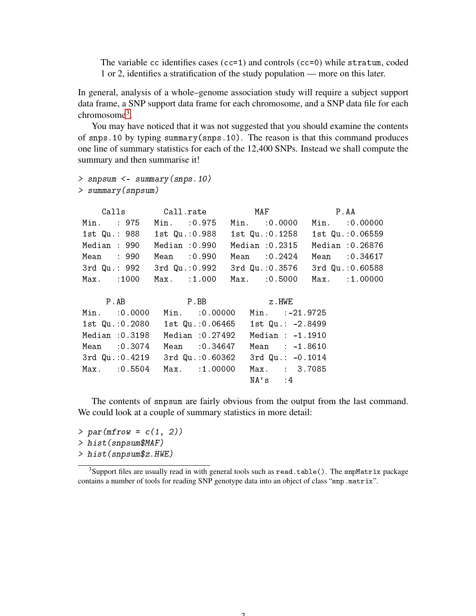The variable cc identifies cases  $(cc=1)$  and controls  $(cc=0)$  while stratum, coded 1 or 2, identifies a stratification of the study population — more on this later.

In general, analysis of a whole–genome association study will require a subject support data frame, a SNP support data frame for each chromosome, and a SNP data file for each chromosome<sup>[3](#page-2-0)</sup>.

You may have noticed that it was not suggested that you should examine the contents of snps.10 by typing summary(snps.10). The reason is that this command produces one line of summary statistics for each of the 12,400 SNPs. Instead we shall compute the summary and then summarise it!

```
> snpsum <- summary(snps.10)
> summary(snpsum)
```
Calls Call.rate MAF P.AA Min. : 975 Min. :0.975 Min. :0.0000 Min. :0.00000 1st Qu.: 988 1st Qu.:0.988 1st Qu.:0.1258 1st Qu.:0.06559 Median : 990 Median :0.990 Median :0.2315 Median :0.26876 Mean : 990 Mean :0.990 Mean :0.2424 Mean :0.34617 3rd Qu.: 992 3rd Qu.:0.992 3rd Qu.:0.3576 3rd Qu.:0.60588 Max. :1000 Max. :1.000 Max. :0.5000 Max. :1.00000 P.AB P.BB z.HWE Min. :0.0000 Min. :0.00000 Min. :-21.9725 1st Qu.:0.2080 1st Qu.:0.06465 1st Qu.: -2.8499 Median :0.3198 Median :0.27492 Median : -1.1910 Mean :0.3074 Mean :0.34647 Mean : -1.8610 3rd Qu.:0.4219 3rd Qu.:0.60362 3rd Qu.: -0.1014 Max. :0.5504 Max. :1.00000 Max. : 3.7085

The contents of snpsum are fairly obvious from the output from the last command. We could look at a couple of summary statistics in more detail:

 $NA's$  : 4

 $> par(mfrow = c(1, 2))$ 

> hist(snpsum\$MAF)

> hist(snpsum\$z.HWE)

<span id="page-2-0"></span><sup>&</sup>lt;sup>3</sup>Support files are usually read in with general tools such as read.table(). The snpMatrix package contains a number of tools for reading SNP genotype data into an object of class "snp.matrix".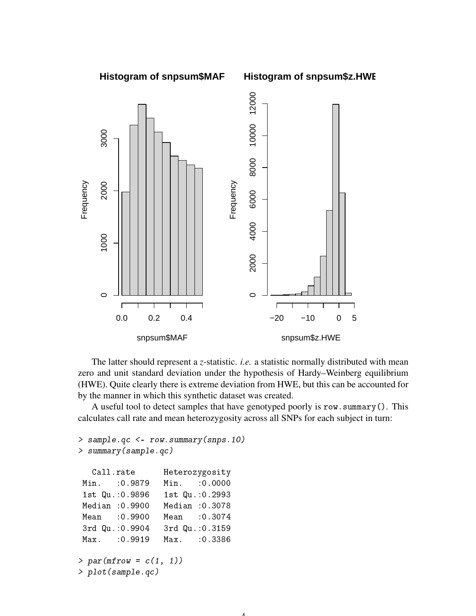

The latter should represent a *z*-statistic. *i.e.* a statistic normally distributed with mean zero and unit standard deviation under the hypothesis of Hardy–Weinberg equilibrium (HWE). Quite clearly there is extreme deviation from HWE, but this can be accounted for by the manner in which this synthetic dataset was created.

A useful tool to detect samples that have genotyped poorly is row.summary(). This calculates call rate and mean heterozygosity across all SNPs for each subject in turn:

```
> sample.qc <- row.summary(snps.10)
> summary(sample.qc)
  Call.rate Heterozygosity
Min. :0.9879 Min. :0.0000
 1st Qu.:0.9896 1st Qu.:0.2993
Median :0.9900 Median :0.3078
Mean :0.9900 Mean :0.3074
3rd Qu.:0.9904 3rd Qu.:0.3159
Max. :0.9919 Max. :0.3386
> par(mfrow = c(1, 1))> plot(sample.qc)
```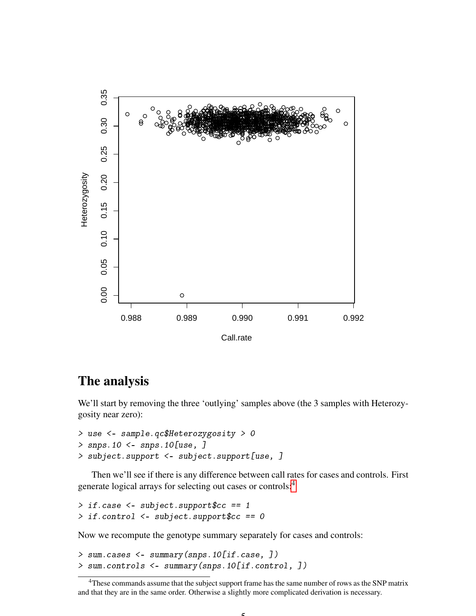

## The analysis

We'll start by removing the three 'outlying' samples above (the 3 samples with Heterozygosity near zero):

```
> use <- sample.qc$Heterozygosity > 0
> snps.10 <- snps.10[use, ]
> subject.support <- subject.support[use, ]
```
Then we'll see if there is any difference between call rates for cases and controls. First generate logical arrays for selecting out cases or controls:[4](#page-4-0)

```
> if.case \leq subject.support$cc == 1
> if.control <- subject.support$cc == 0
```
Now we recompute the genotype summary separately for cases and controls:

> sum.cases <- summary(snps.10[if.case, ]) > sum.controls <- summary(snps.10[if.control, ])

<span id="page-4-0"></span><sup>&</sup>lt;sup>4</sup>These commands assume that the subject support frame has the same number of rows as the SNP matrix and that they are in the same order. Otherwise a slightly more complicated derivation is necessary.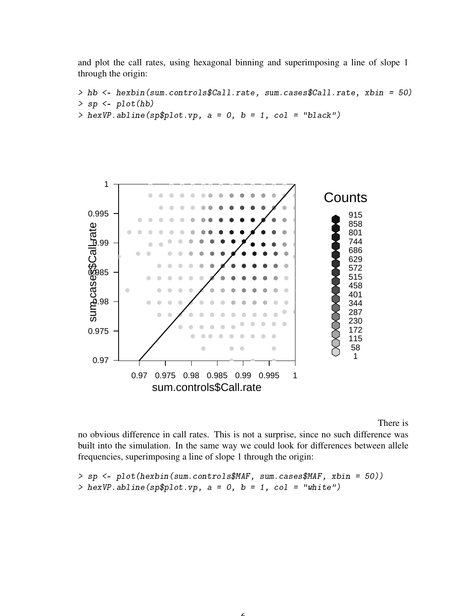and plot the call rates, using hexagonal binning and superimposing a line of slope 1 through the origin:

```
> hb <- hexbin(sum.controls$Call.rate, sum.cases$Call.rate, xbin = 50)
> sp < - plot(hb)> hexVP.abline(sp$plot.vp, a = 0, b = 1, col = "black")
```


There is

no obvious difference in call rates. This is not a surprise, since no such difference was built into the simulation. In the same way we could look for differences between allele frequencies, superimposing a line of slope 1 through the origin:

```
> sp <- plot(hexbin(sum.controls$MAF, sum.cases$MAF, xbin = 50))
> hexVP.abline(sp$plot.vp, a = 0, b = 1, col = "white")
```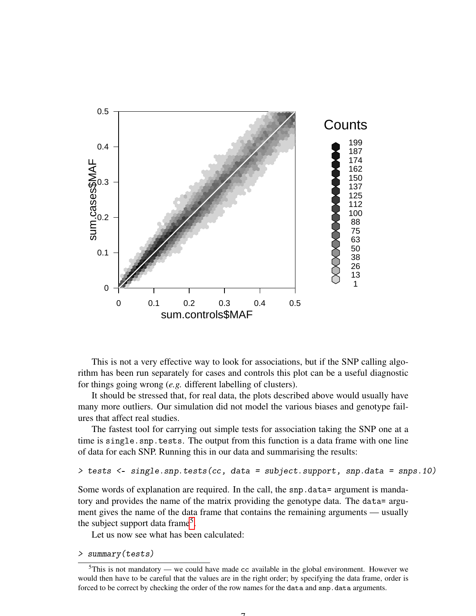

This is not a very effective way to look for associations, but if the SNP calling algorithm has been run separately for cases and controls this plot can be a useful diagnostic for things going wrong (*e.g.* different labelling of clusters).

It should be stressed that, for real data, the plots described above would usually have many more outliers. Our simulation did not model the various biases and genotype failures that affect real studies.

The fastest tool for carrying out simple tests for association taking the SNP one at a time is single.snp.tests. The output from this function is a data frame with one line of data for each SNP. Running this in our data and summarising the results:

```
> tests <- single.snp.tests(cc, data = subject.support, snp.data = snps.10)
```
Some words of explanation are required. In the call, the snp.data= argument is mandatory and provides the name of the matrix providing the genotype data. The data= argument gives the name of the data frame that contains the remaining arguments — usually the subject support data frame<sup>[5](#page-6-0)</sup>.

Let us now see what has been calculated:

> summary(tests)

<span id="page-6-0"></span> $5$ This is not mandatory — we could have made cc available in the global environment. However we would then have to be careful that the values are in the right order; by specifying the data frame, order is forced to be correct by checking the order of the row names for the data and snp.data arguments.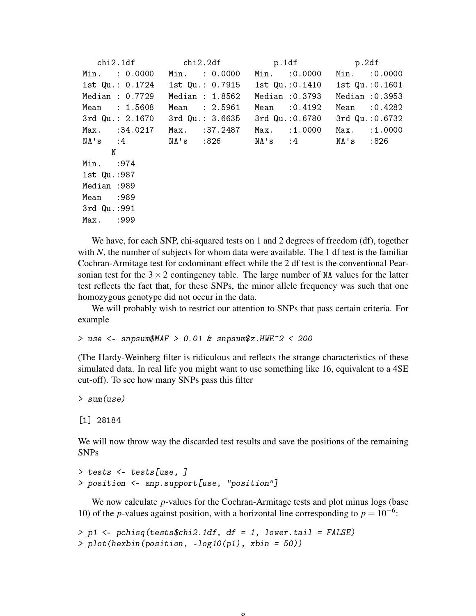|                     | chi2.1df chi2.2df p.1df p.2df                                   |                |                 |
|---------------------|-----------------------------------------------------------------|----------------|-----------------|
| Min. : 0.0000       | Min. : 0.0000                                                   | Min. : 0.0000  | Min. : 0.0000   |
|                     | 1st Qu.: 0.1724 1st Qu.: 0.7915 1st Qu.: 0.1410 1st Qu.: 0.1601 |                |                 |
| Median : $0.7729$   | Median : 1.8562                                                 | Median :0.3793 | Median : 0.3953 |
| Mean : 1.5608       | Mean : 2.5961                                                   | Mean : 0.4192  | Mean : 0.4282   |
| $3rd$ Qu.: $2.1670$ | 3rd Qu.: 3.6635 3rd Qu.: 0.6780 3rd Qu.: 0.6732                 |                |                 |
| Max. :34.0217       | Max. :37.2487                                                   | Max. :1.0000   | Max. :1.0000    |
|                     | NA's :4 NA's :826 NA's :4 NA's :826                             |                |                 |
| N                   |                                                                 |                |                 |
| Min. : 974          |                                                                 |                |                 |
| 1st Qu.:987         |                                                                 |                |                 |
| Median: 989         |                                                                 |                |                 |
| Mean :989           |                                                                 |                |                 |
| 3rd Qu.:991         |                                                                 |                |                 |
| Max. :999           |                                                                 |                |                 |
|                     |                                                                 |                |                 |

We have, for each SNP, chi-squared tests on 1 and 2 degrees of freedom (df), together with *N*, the number of subjects for whom data were available. The 1 df test is the familiar Cochran-Armitage test for codominant effect while the 2 df test is the conventional Pearsonian test for the  $3 \times 2$  contingency table. The large number of NA values for the latter test reflects the fact that, for these SNPs, the minor allele frequency was such that one homozygous genotype did not occur in the data.

We will probably wish to restrict our attention to SNPs that pass certain criteria. For example

 $>$  use  $<-$  snpsum\$MAF  $>$  0.01 & snpsum\$z.HWE $\degree$ 2 < 200

(The Hardy-Weinberg filter is ridiculous and reflects the strange characteristics of these simulated data. In real life you might want to use something like 16, equivalent to a 4SE cut-off). To see how many SNPs pass this filter

```
> sum(use)
```

```
[1] 28184
```
We will now throw way the discarded test results and save the positions of the remaining SNPs

```
> tests <- tests[use, ]
> position <- snp.support[use, "position"]
```
We now calculate *p*-values for the Cochran-Armitage tests and plot minus logs (base 10) of the *p*-values against position, with a horizontal line corresponding to  $p = 10^{-6}$ .

 $\mathbf{o}$ 

```
> p1 <- pchisq(tests$chi2.1df, df = 1, lower.tail = FALSE)
> plot(hexbin(position, -log10(p1), xbin = 50))
```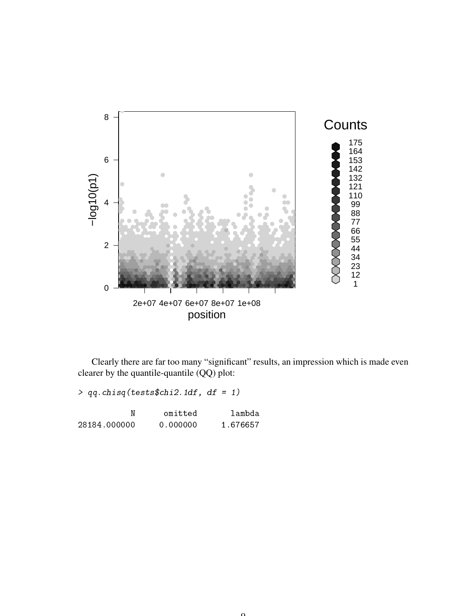

Clearly there are far too many "significant" results, an impression which is made even clearer by the quantile-quantile (QQ) plot:

 $> qq.chisq(tests$ chi2.1df, df = 1)

|              | omitted  | lambda   |
|--------------|----------|----------|
| 28184.000000 | 0.000000 | 1.676657 |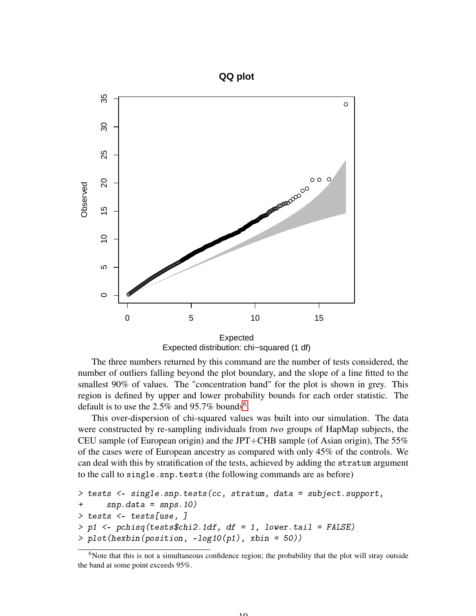

Expected distribution: chi−squared (1 df) Expected

The three numbers returned by this command are the number of tests considered, the number of outliers falling beyond the plot boundary, and the slope of a line fitted to the smallest 90% of values. The "concentration band" for the plot is shown in grey. This region is defined by upper and lower probability bounds for each order statistic. The default is to use the 2.5% and 95.7% bounds<sup>[6](#page-9-0)</sup>.

This over-dispersion of chi-squared values was built into our simulation. The data were constructed by re-sampling individuals from *two* groups of HapMap subjects, the CEU sample (of European origin) and the JPT+CHB sample (of Asian origin), The  $55\%$ of the cases were of European ancestry as compared with only 45% of the controls. We can deal with this by stratification of the tests, achieved by adding the stratum argument to the call to single.snp.tests (the following commands are as before)

```
> tests <- single.snp.tests(cc, stratum, data = subject.support,
+ snp.data = snps.10)
> tests <- tests[use, ]
> p1 <- pchisq(tests$chi2.1df, df = 1, lower.tail = FALSE)
> plot(hexbin(position, -log10(p1), xbin = 50))
```
 $1<sub>0</sub>$ 

<span id="page-9-0"></span><sup>&</sup>lt;sup>6</sup>Note that this is not a simultaneous confidence region; the probability that the plot will stray outside the band at some point exceeds 95%.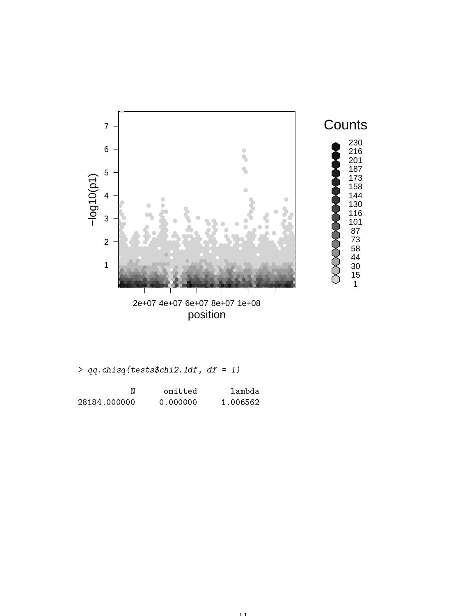

position

**Counts** 

|  | $> qq.chisq(tests\$chi2.1df, df = 1)$ |  |  |  |  |
|--|---------------------------------------|--|--|--|--|
|--|---------------------------------------|--|--|--|--|

|              | omitted  | lambda   |
|--------------|----------|----------|
| 28184.000000 | 0.000000 | 1.006562 |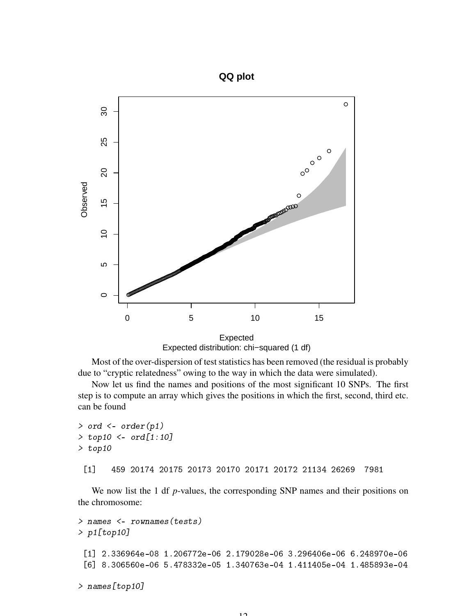

Expected distribution: chi−squared (1 df)

Most of the over-dispersion of test statistics has been removed (the residual is probably due to "cryptic relatedness" owing to the way in which the data were simulated).

Now let us find the names and positions of the most significant 10 SNPs. The first step is to compute an array which gives the positions in which the first, second, third etc. can be found

```
> ord \leq order(p1)
> top10 <- ord[1:10]
> top10
 [1] 459 20174 20175 20173 20170 20171 20172 21134 26269 7981
```
We now list the 1 df *p*-values, the corresponding SNP names and their positions on the chromosome:

```
> names <- rownames(tests)
> p1[top10]
 [1] 2.336964e-08 1.206772e-06 2.179028e-06 3.296406e-06 6.248970e-06
 [6] 8.306560e-06 5.478332e-05 1.340763e-04 1.411405e-04 1.485893e-04
> names[top10]
```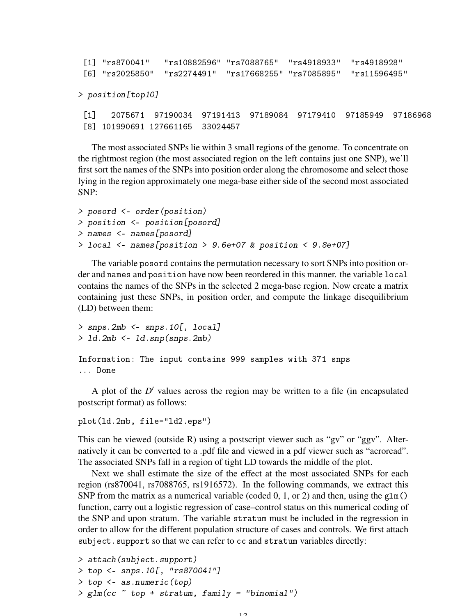```
[1] "rs870041" "rs10882596" "rs7088765" "rs4918933" "rs4918928"
[6] "rs2025850" "rs2274491" "rs17668255" "rs7085895" "rs11596495"
```
> position[top10]

[1] 2075671 97190034 97191413 97189084 97179410 97185949 97186968 [8] 101990691 127661165 33024457

The most associated SNPs lie within 3 small regions of the genome. To concentrate on the rightmost region (the most associated region on the left contains just one SNP), we'll first sort the names of the SNPs into position order along the chromosome and select those lying in the region approximately one mega-base either side of the second most associated SNP:

```
> posord <- order(position)
> position <- position[posord]
> names <- names[posord]
> local <- names[position > 9.6e+07 & position < 9.8e+07]
```
The variable posord contains the permutation necessary to sort SNPs into position order and names and position have now been reordered in this manner. the variable local contains the names of the SNPs in the selected 2 mega-base region. Now create a matrix containing just these SNPs, in position order, and compute the linkage disequilibrium (LD) between them:

```
> snps.2mb \leq snps.10[, local]
> ld.2mb <- ld.snp(snps.2mb)
Information: The input contains 999 samples with 371 snps
```
... Done

A plot of the  $D'$  values across the region may be written to a file (in encapsulated postscript format) as follows:

```
plot(ld.2mb, file="ld2.eps")
```
This can be viewed (outside R) using a postscript viewer such as "gv" or "ggv". Alternatively it can be converted to a .pdf file and viewed in a pdf viewer such as "acroread". The associated SNPs fall in a region of tight LD towards the middle of the plot.

Next we shall estimate the size of the effect at the most associated SNPs for each region (rs870041, rs7088765, rs1916572). In the following commands, we extract this SNP from the matrix as a numerical variable (coded 0, 1, or 2) and then, using the  $g1m()$ function, carry out a logistic regression of case–control status on this numerical coding of the SNP and upon stratum. The variable stratum must be included in the regression in order to allow for the different population structure of cases and controls. We first attach subject.support so that we can refer to cc and stratum variables directly:

```
> attach(subject.support)
> top <- snps.10[, "rs870041"]
> top <- as.numeric(top)
> glm(cc \sim top + stratum, family = "binomial")
```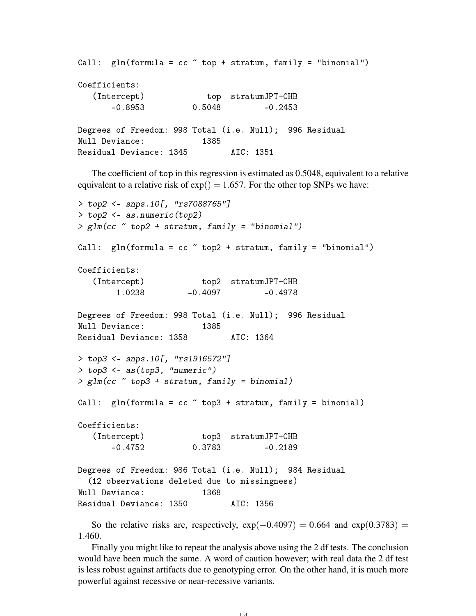```
Call: glm(formula = cc \tilde{c} top + stratum, family = "binomial")
Coefficients:
  (Intercept) top stratumJPT+CHB
      -0.8953 0.5048 -0.2453Degrees of Freedom: 998 Total (i.e. Null); 996 Residual
Null Deviance: 1385
Residual Deviance: 1345 AIC: 1351
```
The coefficient of top in this regression is estimated as 0.5048, equivalent to a relative equivalent to a relative risk of  $exp() = 1.657$ . For the other top SNPs we have:

```
> top2 <- snps.10[, "rs7088765"]
> top2 <- as.numeric(top2)
> glm(cc \sim top2 + stratum, family = "binomial")Call: glm(formula = cc \sim top2 + stratum, family = "binomial")
Coefficients:
   (Intercept) top2 stratumJPT+CHB<br>1.0238 -0.4097 -0.4097
                   مست 1001 - top2<br>1978 -0.4097 -0.4978
Degrees of Freedom: 998 Total (i.e. Null); 996 Residual
Null Deviance: 1385
Residual Deviance: 1358 AIC: 1364
> top3 <- snps.10[, "rs1916572"]
> top3 <- as(top3, "numeric")
> glm(cc \sim top3 + stratum, family = binomial)Call: glm(formula = cc top3 + stratum, family = binomial)
Coefficients:
   (Intercept) top3 stratumJPT+CHB
      -0.4752 0.3783 -0.2189
Degrees of Freedom: 986 Total (i.e. Null); 984 Residual
  (12 observations deleted due to missingness)
Null Deviance: 1368
Residual Deviance: 1350 AIC: 1356
```
So the relative risks are, respectively,  $\exp(-0.4097) = 0.664$  and  $\exp(0.3783) =$ 1.460.

Finally you might like to repeat the analysis above using the 2 df tests. The conclusion would have been much the same. A word of caution however; with real data the 2 df test is less robust against artifacts due to genotyping error. On the other hand, it is much more powerful against recessive or near-recessive variants.

14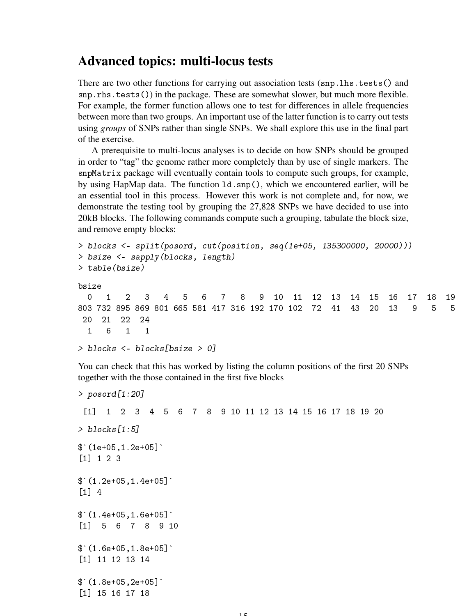#### Advanced topics: multi-locus tests

There are two other functions for carrying out association tests (snp. lhs. tests() and snp.rhs.tests()) in the package. These are somewhat slower, but much more flexible. For example, the former function allows one to test for differences in allele frequencies between more than two groups. An important use of the latter function is to carry out tests using *groups* of SNPs rather than single SNPs. We shall explore this use in the final part of the exercise.

A prerequisite to multi-locus analyses is to decide on how SNPs should be grouped in order to "tag" the genome rather more completely than by use of single markers. The snpMatrix package will eventually contain tools to compute such groups, for example, by using HapMap data. The function ld.snp(), which we encountered earlier, will be an essential tool in this process. However this work is not complete and, for now, we demonstrate the testing tool by grouping the 27,828 SNPs we have decided to use into 20kB blocks. The following commands compute such a grouping, tabulate the block size, and remove empty blocks:

```
> blocks <- split(posord, cut(position, seq(1e+05, 135300000, 20000)))
> bsize <- sapply(blocks, length)
> table(bsize)
bsize
 0 1 2 3 4 5 6 7 8 9 10 11 12 13 14 15 16 17 18 19
803 732 895 869 801 665 581 417 316 192 170 102 72 41 43 20 13 9 5 5
20 21 22 24
 1 6 1 1
> blocks <- blocks[bsize > 0]
```
You can check that this has worked by listing the column positions of the first 20 SNPs together with the those contained in the first five blocks

```
> posord[1:20]
 [1] 1 2 3 4 5 6 7 8 9 10 11 12 13 14 15 16 17 18 19 20
> blocks [1:5]$^{\textdegree} (1e+05,1.2e+05]^{\textdegree}[1] 1 2 3
$(1.2e+05, 1.4e+05][1] 4
$(1.4e+05, 1.6e+05][1] 5 6 7 8 9 10
$(1.6e+05, 1.8e+05][1] 11 12 13 14
$(1.8e+05, 2e+05][1] 15 16 17 18
```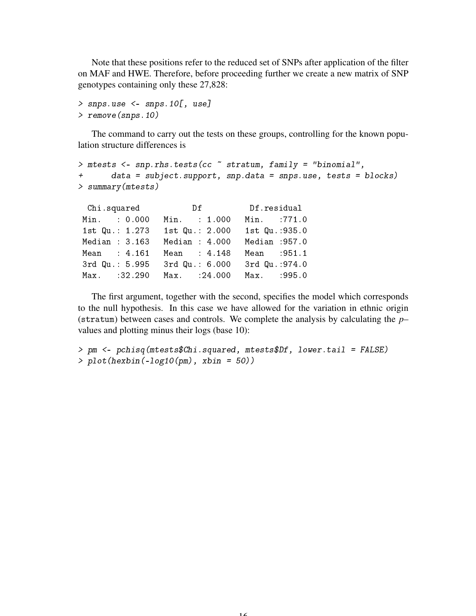Note that these positions refer to the reduced set of SNPs after application of the filter on MAF and HWE. Therefore, before proceeding further we create a new matrix of SNP genotypes containing only these 27,828:

```
> snps.use <- snps.10[, use]
> remove(snps.10)
```
The command to carry out the tests on these groups, controlling for the known population structure differences is

```
> mtests <- snp.rhs.tests(cc ~ stratum, family = "binomial",
+ data = subject.support, snp.data = snps.use, tests = blocks)
> summary(mtests)
```

| Chi.squared    | Df Df.residual  |                |
|----------------|-----------------|----------------|
| Min. : 0.000   | Min. : 1.000    | Min. :771.0    |
| 1st Qu.: 1.273 | 1st Qu.: 2.000  | 1st Qu.: 935.0 |
| Median : 3.163 | Median: $4.000$ | Median : 957.0 |
| Mean : 4.161   | Mean : 4.148    | Mean : 951.1   |
| 3rd Qu.: 5.995 | 3rd Qu.: 6.000  | 3rd Qu.: 974.0 |
| Max. : 32.290  | $Max.$ : 24.000 | Max. : 995.0   |

The first argument, together with the second, specifies the model which corresponds to the null hypothesis. In this case we have allowed for the variation in ethnic origin (stratum) between cases and controls. We complete the analysis by calculating the *p*– values and plotting minus their logs (base 10):

```
> pm <- pchisq(mtests$Chi.squared, mtests$Df, lower.tail = FALSE)
> plot(hexbin(-log10(pm), xbin = 50))
```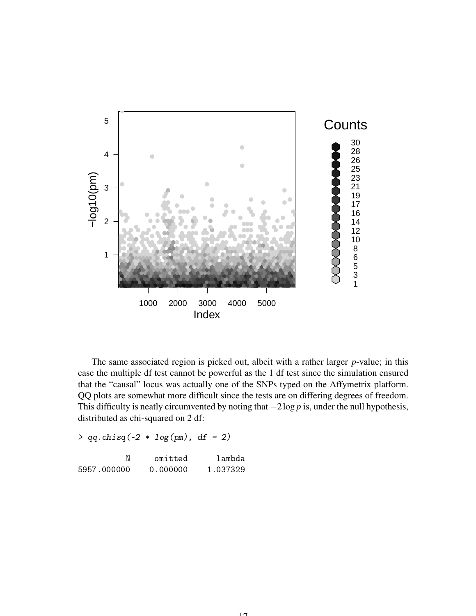

The same associated region is picked out, albeit with a rather larger *p*-value; in this case the multiple df test cannot be powerful as the 1 df test since the simulation ensured that the "causal" locus was actually one of the SNPs typed on the Affymetrix platform. QQ plots are somewhat more difficult since the tests are on differing degrees of freedom. This difficulty is neatly circumvented by noting that −2log *p* is, under the null hypothesis, distributed as chi-squared on 2 df:

 $> qq.chisq(-2 * log(pm), df = 2)$ 

|             | omitted  | lambda   |
|-------------|----------|----------|
| 5957.000000 | 0.000000 | 1.037329 |